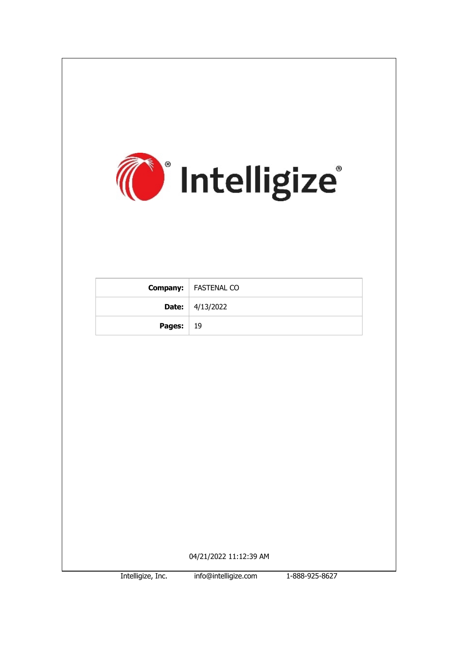

Intelligize, Inc. info@intelligize.com 1-888-925-8627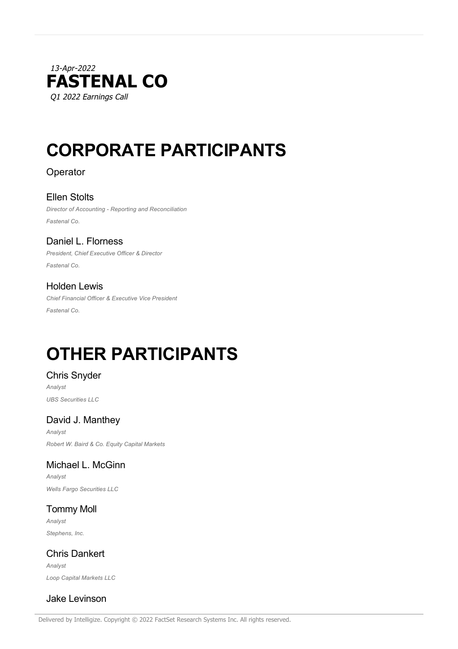

# **CORPORATE PARTICIPANTS**

## Operator

Ellen Stolts *Director of Accounting - Reporting and Reconciliation Fastenal Co.*

Daniel L. Florness *President, Chief Executive Officer & Director Fastenal Co.*

## Holden Lewis

*Chief Financial Officer & Executive Vice President Fastenal Co.*

# **OTHER PARTICIPANTS**

## Chris Snyder

*Analyst UBS Securities LLC*

# David J. Manthey

*Analyst Robert W. Baird & Co. Equity Capital Markets*

# Michael L. McGinn

*Analyst Wells Fargo Securities LLC*

Tommy Moll *Analyst Stephens, Inc.*

Chris Dankert *Analyst Loop Capital Markets LLC*

# Jake Levinson

Delivered by Intelligize. Copyright © 2022 FactSet Research Systems Inc. All rights reserved.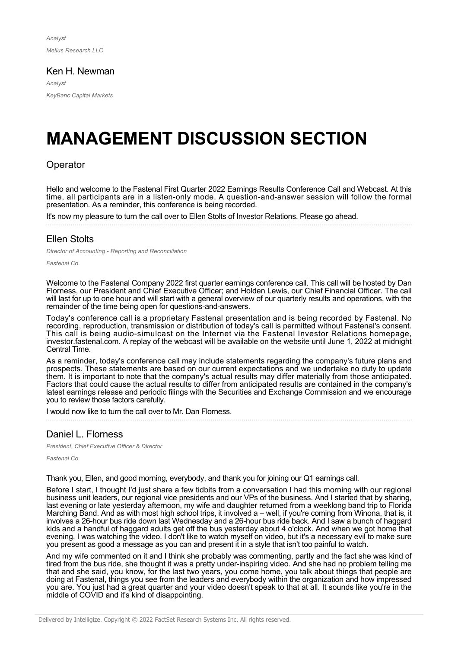*Analyst Melius Research LLC*

#### Ken H. Newman

*Analyst KeyBanc Capital Markets*

# **MANAGEMENT DISCUSSION SECTION**

#### **Operator**

Hello and welcome to the Fastenal First Quarter 2022 Earnings Results Conference Call and Webcast. At this time, all participants are in a listen-only mode. A question-and-answer session will follow the formal presentation. As a reminder, this conference is being recorded.

It's now my pleasure to turn the call over to Ellen Stolts of Investor Relations. Please go ahead.

#### Ellen Stolts

*Director of Accounting - Reporting and Reconciliation*

*Fastenal Co.*

Welcome to the Fastenal Company 2022 first quarter earnings conference call. This call will be hosted by Dan Florness, our President and Chief Executive Officer; and Holden Lewis, our Chief Financial Officer. The call will last for up to one hour and will start with a general overview of our quarterly results and operations, with the remainder of the time being open for questions-and-answers.

Today's conference call is a proprietary Fastenal presentation and is being recorded by Fastenal. No recording, reproduction, transmission or distribution of today's call is permitted without Fastenal's consent. This call is being audio-simulcast on the Internet via the Fastenal Investor Relations homepage, investor.fastenal.com. A replay of the webcast will be available on the website until June 1, 2022 at midnight Central Time.

As a reminder, today's conference call may include statements regarding the company's future plans and prospects. These statements are based on our current expectations and we undertake no duty to update them. It is important to note that the company's actual results may differ materially from those anticipated. Factors that could cause the actual results to differ from anticipated results are contained in the company's latest earnings release and periodic filings with the Securities and Exchange Commission and we encourage you to review those factors carefully.

I would now like to turn the call over to Mr. Dan Florness.

#### Daniel L. Florness

*President, Chief Executive Officer & Director*

*Fastenal Co.*

Thank you, Ellen, and good morning, everybody, and thank you for joining our Q1 earnings call.

Before I start, I thought I'd just share a few tidbits from a conversation I had this morning with our regional business unit leaders, our regional vice presidents and our VPs of the business. And I started that by sharing, last evening or late yesterday afternoon, my wife and daughter returned from a weeklong band trip to Florida Marching Band. And as with most high school trips, it involved a – well, if you're coming from Winona, that is, it involves a 26-hour bus ride down last Wednesday and a 26-hour bus ride back. And I saw a bunch of haggard kids and a handful of haggard adults get off the bus yesterday about 4 o'clock. And when we got home that evening, I was watching the video. I don't like to watch myself on video, but it's a necessary evil to make sure you present as good a message as you can and present it in a style that isn't too painful to watch.

And my wife commented on it and I think she probably was commenting, partly and the fact she was kind of tired from the bus ride, she thought it was a pretty under-inspiring video. And she had no problem telling me that and she said, you know, for the last two years, you come home, you talk about things that people are doing at Fastenal, things you see from the leaders and everybody within the organization and how impressed you are. You just had a great quarter and your video doesn't speak to that at all. It sounds like you're in the middle of COVID and it's kind of disappointing.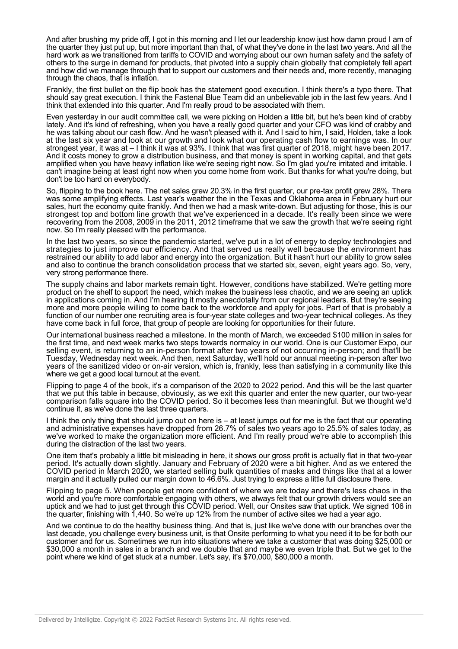And after brushing my pride off, I got in this morning and I let our leadership know just how damn proud I am of the quarter they just put up, but more important than that, of what they've done in the last two years. And all the hard work as we transitioned from tariffs to COVID and worrying about our own human safety and the safety of others to the surge in demand for products, that pivoted into a supply chain globally that completely fell apart and how did we manage through that to support our customers and their needs and, more recently, managing through the chaos, that is inflation.

Frankly, the first bullet on the flip book has the statement good execution. I think there's a typo there. That should say great execution. I think the Fastenal Blue Team did an unbelievable job in the last few years. And I think that extended into this quarter. And I'm really proud to be associated with them.

Even yesterday in our audit committee call, we were picking on Holden a little bit, but he's been kind of crabby lately. And it's kind of refreshing, when you have a really good quarter and your CFO was kind of crabby and he was talking about our cash flow. And he wasn't pleased with it. And I said to him, I said, Holden, take a look at the last six year and look at our growth and look what our operating cash flow to earnings was. In our strongest year, it was at – I think it was at 93%. I think that was first quarter of 2018, might have been 2017. And it costs money to grow a distribution business, and that money is spent in working capital, and that gets amplified when you have heavy inflation like we're seeing right now. So I'm glad you're irritated and irritable. I can't imagine being at least right now when you come home from work. But thanks for what you're doing, but don't be too hard on everybody.

So, flipping to the book here. The net sales grew 20.3% in the first quarter, our pre-tax profit grew 28%. There was some amplifying effects. Last year's weather the in the Texas and Oklahoma area in February hurt our sales, hurt the economy quite frankly. And then we had a mask write-down. But adjusting for those, this is our strongest top and bottom line growth that we've experienced in a decade. It's really been since we were recovering from the 2008, 2009 in the 2011, 2012 timeframe that we saw the growth that we're seeing right now. So I'm really pleased with the performance.

In the last two years, so since the pandemic started, we've put in a lot of energy to deploy technologies and strategies to just improve our efficiency. And that served us really well because the environment has restrained our ability to add labor and energy into the organization. But it hasn't hurt our ability to grow sales and also to continue the branch consolidation process that we started six, seven, eight years ago. So, very, very strong performance there.

The supply chains and labor markets remain tight. However, conditions have stabilized. We're getting more product on the shelf to support the need, which makes the business less chaotic, and we are seeing an uptick in applications coming in. And I'm hearing it mostly anecdotally from our regional leaders. But they're seeing more and more people willing to come back to the workforce and apply for jobs. Part of that is probably a function of our number one recruiting area is four-year state colleges and two-year technical colleges. As they have come back in full force, that group of people are looking for opportunities for their future.

Our international business reached a milestone. In the month of March, we exceeded \$100 million in sales for the first time, and next week marks two steps towards normalcy in our world. One is our Customer Expo, our selling event, is returning to an in-person format after two years of not occurring in-person; and that'll be Tuesday, Wednesday next week. And then, next Saturday, we'll hold our annual meeting in-person after two years of the sanitized video or on-air version, which is, frankly, less than satisfying in a community like this where we get a good local turnout at the event.

Flipping to page 4 of the book, it's a comparison of the 2020 to 2022 period. And this will be the last quarter that we put this table in because, obviously, as we exit this quarter and enter the new quarter, our two-year comparison falls square into the COVID period. So it becomes less than meaningful. But we thought we'd continue it, as we've done the last three quarters.

I think the only thing that should jump out on here is – at least jumps out for me is the fact that our operating and administrative expenses have dropped from 26.7% of sales two years ago to 25.5% of sales today, as we've worked to make the organization more efficient. And I'm really proud we're able to accomplish this during the distraction of the last two years.

One item that's probably a little bit misleading in here, it shows our gross profit is actually flat in that two-year period. It's actually down slightly. January and February of 2020 were a bit higher. And as we entered the COVID period in March 2020, we started selling bulk quantities of masks and things like that at a lower margin and it actually pulled our margin down to 46.6%. Just trying to express a little full disclosure there.

Flipping to page 5. When people get more confident of where we are today and there's less chaos in the world and you're more comfortable engaging with others, we always felt that our growth drivers would see an uptick and we had to just get through this COVID period. Well, our Onsites saw that uptick. We signed 106 in the quarter, finishing with 1,440. So we're up 12% from the number of active sites we had a year ago.

And we continue to do the healthy business thing. And that is, just like we've done with our branches over the last decade, you challenge every business unit, is that Onsite performing to what you need it to be for both our customer and for us. Sometimes we run into situations where we take a customer that was doing \$25,000 or \$30,000 a month in sales in a branch and we double that and maybe we even triple that. But we get to the point where we kind of get stuck at a number. Let's say, it's \$70,000, \$80,000 a month.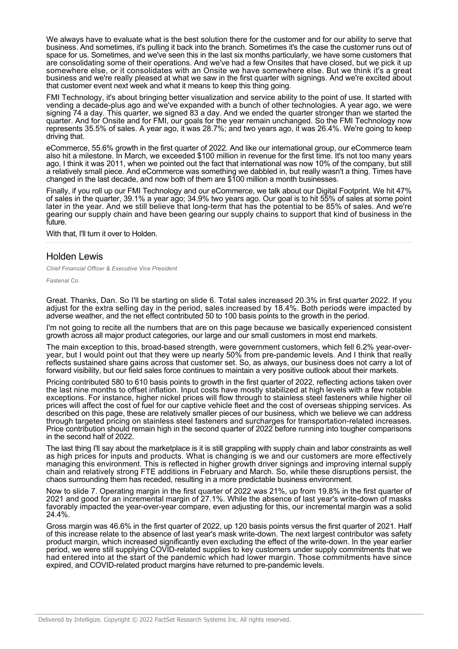We always have to evaluate what is the best solution there for the customer and for our ability to serve that business. And sometimes, it's pulling it back into the branch. Sometimes it's the case the customer runs out of space for us. Sometimes, and we've seen this in the last six months particularly, we have some customers that are consolidating some of their operations. And we've had a few Onsites that have closed, but we pick it up somewhere else, or it consolidates with an Onsite we have somewhere else. But we think it's a great business and we're really pleased at what we saw in the first quarter with signings. And we're excited about that customer event next week and what it means to keep this thing going.

FMI Technology, it's about bringing better visualization and service ability to the point of use. It started with vending a decade-plus ago and we've expanded with a bunch of other technologies. A year ago, we were signing 74 a day. This quarter, we signed 83 a day. And we ended the quarter stronger than we started the quarter. And for Onsite and for FMI, our goals for the year remain unchanged. So the FMI Technology now represents 35.5% of sales. A year ago, it was 28.7%; and two years ago, it was 26.4%. We're going to keep driving that.

eCommerce, 55.6% growth in the first quarter of 2022. And like our international group, our eCommerce team also hit a milestone. In March, we exceeded \$100 million in revenue for the first time. It's not too many years ago, I think it was 2011, when we pointed out the fact that international was now 10% of the company, but still a relatively small piece. And eCommerce was something we dabbled in, but really wasn't a thing. Times have changed in the last decade, and now both of them are \$100 million a month businesses.

Finally, if you roll up our FMI Technology and our eCommerce, we talk about our Digital Footprint. We hit 47% of sales in the quarter, 39.1% a year ago; 34.9% two years ago. Our goal is to hit 55% of sales at some point later in the year. And we still believe that long-term that has the potential to be 85% of sales. And we're gearing our supply chain and have been gearing our supply chains to support that kind of business in the future.

With that, I'll turn it over to Holden.

#### Holden Lewis

*Chief Financial Officer & Executive Vice President*

*Fastenal Co.*

Great. Thanks, Dan. So I'll be starting on slide 6. Total sales increased 20.3% in first quarter 2022. If you adjust for the extra selling day in the period, sales increased by 18.4%. Both periods were impacted by adverse weather, and the net effect contributed 50 to 100 basis points to the growth in the period.

I'm not going to recite all the numbers that are on this page because we basically experienced consistent growth across all major product categories, our large and our small customers in most end markets.

The main exception to this, broad-based strength, were government customers, which fell 6.2% year-overyear, but I would point out that they were up nearly 50% from pre-pandemic levels. And I think that really reflects sustained share gains across that customer set. So, as always, our business does not carry a lot of forward visibility, but our field sales force continues to maintain a very positive outlook about their markets.

Pricing contributed 580 to 610 basis points to growth in the first quarter of 2022, reflecting actions taken over the last nine months to offset inflation. Input costs have mostly stabilized at high levels with a few notable exceptions. For instance, higher nickel prices will flow through to stainless steel fasteners while higher oil prices will affect the cost of fuel for our captive vehicle fleet and the cost of overseas shipping services. As described on this page, these are relatively smaller pieces of our business, which we believe we can address through targeted pricing on stainless steel fasteners and surcharges for transportation-related increases. Price contribution should remain high in the second quarter of 2022 before running into tougher comparisons in the second half of 2022.

The last thing I'll say about the marketplace is it is still grappling with supply chain and labor constraints as well as high prices for inputs and products. What is changing is we and our customers are more effectively managing this environment. This is reflected in higher growth driver signings and improving internal supply chain and relatively strong FTE additions in February and March. So, while these disruptions persist, the chaos surrounding them has receded, resulting in a more predictable business environment.

Now to slide 7. Operating margin in the first quarter of 2022 was 21%, up from 19.8% in the first quarter of 2021 and good for an incremental margin of 27.1%. While the absence of last year's write-down of masks favorably impacted the year-over-year compare, even adjusting for this, our incremental margin was a solid 24.4%.

Gross margin was 46.6% in the first quarter of 2022, up 120 basis points versus the first quarter of 2021. Half of this increase relate to the absence of last year's mask write-down. The next largest contributor was safety product margin, which increased significantly even excluding the effect of the write-down. In the year earlier period, we were still supplying COVID-related supplies to key customers under supply commitments that we had entered into at the start of the pandemic which had lower margin. Those commitments have since expired, and COVID-related product margins have returned to pre-pandemic levels.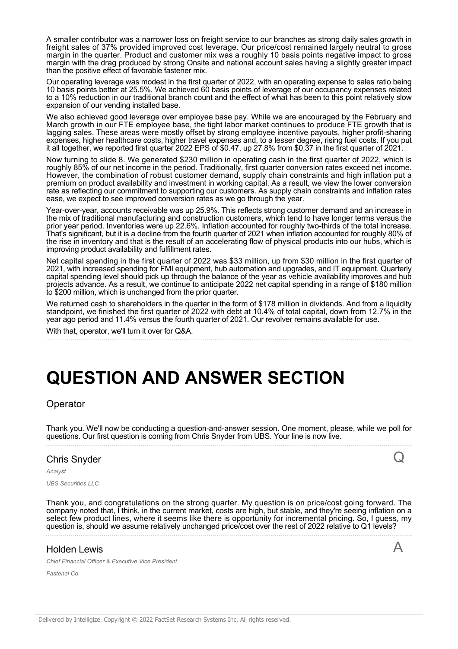A smaller contributor was a narrower loss on freight service to our branches as strong daily sales growth in freight sales of 37% provided improved cost leverage. Our price/cost remained largely neutral to gross margin in the quarter. Product and customer mix was a roughly 10 basis points negative impact to gross margin with the drag produced by strong Onsite and national account sales having a slightly greater impact than the positive effect of favorable fastener mix.

Our operating leverage was modest in the first quarter of 2022, with an operating expense to sales ratio being 10 basis points better at 25.5%. We achieved 60 basis points of leverage of our occupancy expenses related to a 10% reduction in our traditional branch count and the effect of what has been to this point relatively slow expansion of our vending installed base.

We also achieved good leverage over employee base pay. While we are encouraged by the February and March growth in our FTE employee base, the tight labor market continues to produce FTE growth that is lagging sales. These areas were mostly offset by strong employee incentive payouts, higher profit-sharing expenses, higher healthcare costs, higher travel expenses and, to a lesser degree, rising fuel costs. If you put it all together, we reported first quarter 2022 EPS of \$0.47, up 27.8% from \$0.37 in the first quarter of 2021.

Now turning to slide 8. We generated \$230 million in operating cash in the first quarter of 2022, which is roughly 85% of our net income in the period. Traditionally, first quarter conversion rates exceed net income. However, the combination of robust customer demand, supply chain constraints and high inflation put a premium on product availability and investment in working capital. As a result, we view the lower conversion rate as reflecting our commitment to supporting our customers. As supply chain constraints and inflation rates ease, we expect to see improved conversion rates as we go through the year.

Year-over-year, accounts receivable was up 25.9%. This reflects strong customer demand and an increase in the mix of traditional manufacturing and construction customers, which tend to have longer terms versus the prior year period. Inventories were up 22.6%. Inflation accounted for roughly two-thirds of the total increase. That's significant, but it is a decline from the fourth quarter of 2021 when inflation accounted for roughly 80% of the rise in inventory and that is the result of an accelerating flow of physical products into our hubs, which is improving product availability and fulfillment rates.

Net capital spending in the first quarter of 2022 was \$33 million, up from \$30 million in the first quarter of 2021, with increased spending for FMI equipment, hub automation and upgrades, and IT equipment. Quarterly capital spending level should pick up through the balance of the year as vehicle availability improves and hub projects advance. As a result, we continue to anticipate 2022 net capital spending in a range of \$180 million to \$200 million, which is unchanged from the prior quarter.

We returned cash to shareholders in the quarter in the form of \$178 million in dividends. And from a liquidity standpoint, we finished the first quarter of 2022 with debt at 10.4% of total capital, down from 12.7% in the year ago period and 11.4% versus the fourth quarter of 2021. Our revolver remains available for use.

With that, operator, we'll turn it over for Q&A.

# **QUESTION AND ANSWER SECTION**

**Operator** 

Thank you. We'll now be conducting a question-and-answer session. One moment, please, while we poll for questions. Our first question is coming from Chris Snyder from UBS. Your line is now live.

Q

A

#### Chris Snyder

*Analyst UBS Securities LLC*

Thank you, and congratulations on the strong quarter. My question is on price/cost going forward. The company noted that, I think, in the current market, costs are high, but stable, and they're seeing inflation on a select few product lines, where it seems like there is opportunity for incremental pricing. So, I guess, my question is, should we assume relatively unchanged price/cost over the rest of 2022 relative to Q1 levels?

## Holden Lewis

*Chief Financial Officer & Executive Vice President*

*Fastenal Co.*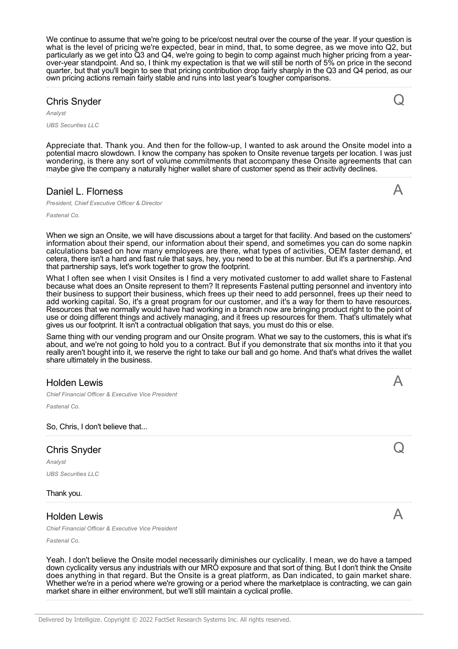We continue to assume that we're going to be price/cost neutral over the course of the year. If your question is what is the level of pricing we're expected, bear in mind, that, to some degree, as we move into Q2, but particularly as we get into Q3 and Q4, we're going to begin to comp against much higher pricing from a yearover-year standpoint. And so, I think my expectation is that we will still be north of 5% on price in the second quarter, but that you'll begin to see that pricing contribution drop fairly sharply in the Q3 and Q4 period, as our own pricing actions remain fairly stable and runs into last year's tougher comparisons.

# Chris Snyder

*Analyst*

*UBS Securities LLC*

Appreciate that. Thank you. And then for the follow-up, I wanted to ask around the Onsite model into a potential macro slowdown. I know the company has spoken to Onsite revenue targets per location. I was just wondering, is there any sort of volume commitments that accompany these Onsite agreements that can maybe give the company a naturally higher wallet share of customer spend as their activity declines.

#### Daniel L. Florness

*President, Chief Executive Officer & Director*

*Fastenal Co.*

When we sign an Onsite, we will have discussions about a target for that facility. And based on the customers' information about their spend, our information about their spend, and sometimes you can do some napkin calculations based on how many employees are there, what types of activities, OEM faster demand, et cetera, there isn't a hard and fast rule that says, hey, you need to be at this number. But it's a partnership. And that partnership says, let's work together to grow the footprint.

What I often see when I visit Onsites is I find a very motivated customer to add wallet share to Fastenal because what does an Onsite represent to them? It represents Fastenal putting personnel and inventory into their business to support their business, which frees up their need to add personnel, frees up their need to add working capital. So, it's a great program for our customer, and it's a way for them to have resources. Resources that we normally would have had working in a branch now are bringing product right to the point of use or doing different things and actively managing, and it frees up resources for them. That's ultimately what gives us our footprint. It isn't a contractual obligation that says, you must do this or else.

Same thing with our vending program and our Onsite program. What we say to the customers, this is what it's about, and we're not going to hold you to a contract. But if you demonstrate that six months into it that you really aren't bought into it, we reserve the right to take our ball and go home. And that's what drives the wallet share ultimately in the business.

## Holden Lewis

*Chief Financial Officer & Executive Vice President*

*Fastenal Co.*

So, Chris, I don't believe that...

## Chris Snyder

*Analyst UBS Securities LLC*

Thank you.

## Holden Lewis

*Chief Financial Officer & Executive Vice President*

*Fastenal Co.*

Yeah. I don't believe the Onsite model necessarily diminishes our cyclicality. I mean, we do have a tamped down cyclicality versus any industrials with our MRO exposure and that sort of thing. But I don't think the Onsite does anything in that regard. But the Onsite is a great platform, as Dan indicated, to gain market share. Whether we're in a period where we're growing or a period where the marketplace is contracting, we can gain market share in either environment, but we'll still maintain a cyclical profile.

Delivered by Intelligize. Copyright © 2022 FactSet Research Systems Inc. All rights reserved.



A

Q

A

 $\boldsymbol{\mathsf{A}}$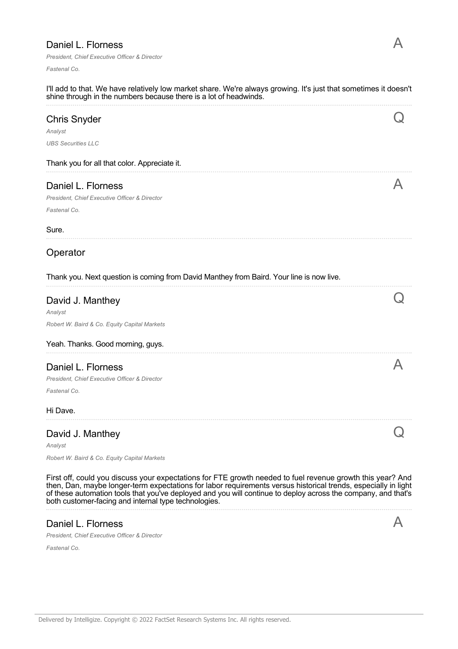# Daniel L. Florness

*President, Chief Executive Officer & Director*

*Fastenal Co.*

| I'll add to that. We have relatively low market share. We're always growing. It's just that sometimes it doesn't<br>shine through in the numbers because there is a lot of headwinds.                                                                                                                                                                                                                 |  |
|-------------------------------------------------------------------------------------------------------------------------------------------------------------------------------------------------------------------------------------------------------------------------------------------------------------------------------------------------------------------------------------------------------|--|
| <b>Chris Snyder</b>                                                                                                                                                                                                                                                                                                                                                                                   |  |
| Analyst                                                                                                                                                                                                                                                                                                                                                                                               |  |
| <b>UBS Securities LLC</b>                                                                                                                                                                                                                                                                                                                                                                             |  |
| Thank you for all that color. Appreciate it.                                                                                                                                                                                                                                                                                                                                                          |  |
| Daniel L. Florness                                                                                                                                                                                                                                                                                                                                                                                    |  |
| President, Chief Executive Officer & Director                                                                                                                                                                                                                                                                                                                                                         |  |
| Fastenal Co.                                                                                                                                                                                                                                                                                                                                                                                          |  |
| Sure.                                                                                                                                                                                                                                                                                                                                                                                                 |  |
| Operator                                                                                                                                                                                                                                                                                                                                                                                              |  |
| Thank you. Next question is coming from David Manthey from Baird. Your line is now live.                                                                                                                                                                                                                                                                                                              |  |
| David J. Manthey                                                                                                                                                                                                                                                                                                                                                                                      |  |
| Analyst                                                                                                                                                                                                                                                                                                                                                                                               |  |
| Robert W. Baird & Co. Equity Capital Markets                                                                                                                                                                                                                                                                                                                                                          |  |
| Yeah. Thanks. Good morning, guys.                                                                                                                                                                                                                                                                                                                                                                     |  |
| Daniel L. Florness                                                                                                                                                                                                                                                                                                                                                                                    |  |
| President, Chief Executive Officer & Director                                                                                                                                                                                                                                                                                                                                                         |  |
| Fastenal Co.                                                                                                                                                                                                                                                                                                                                                                                          |  |
| Hi Dave.                                                                                                                                                                                                                                                                                                                                                                                              |  |
| David J. Manthey                                                                                                                                                                                                                                                                                                                                                                                      |  |
| Analyst                                                                                                                                                                                                                                                                                                                                                                                               |  |
| Robert W. Baird & Co. Equity Capital Markets                                                                                                                                                                                                                                                                                                                                                          |  |
| First off, could you discuss your expectations for FTE growth needed to fuel revenue growth this year? And<br>then, Dan, maybe longer-term expectations for labor requirements versus historical trends, especially in light<br>of these automation tools that you've deployed and you will continue to deploy across the company, and that's<br>both customer-facing and internal type technologies. |  |
| Daniel L. Florness                                                                                                                                                                                                                                                                                                                                                                                    |  |
| President, Chief Executive Officer & Director                                                                                                                                                                                                                                                                                                                                                         |  |
| Fastenal Co.                                                                                                                                                                                                                                                                                                                                                                                          |  |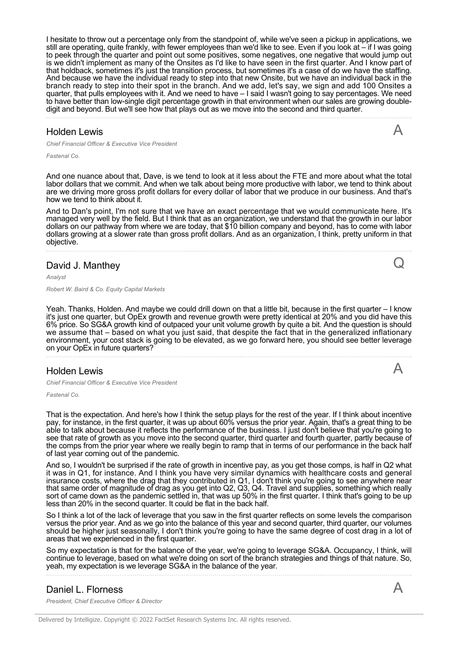I hesitate to throw out a percentage only from the standpoint of, while we've seen a pickup in applications, we still are operating, quite frankly, with fewer employees than we'd like to see. Even if you look at – if I was going to peek through the quarter and point out some positives, some negatives, one negative that would jump out is we didn't implement as many of the Onsites as I'd like to have seen in the first quarter. And I know part of that holdback, sometimes it's just the transition process, but sometimes it's a case of do we have the staffing. And because we have the individual ready to step into that new Onsite, but we have an individual back in the branch ready to step into their spot in the branch. And we add, let's say, we sign and add 100 Onsites a quarter, that pulls employees with it. And we need to have – I said I wasn't going to say percentages. We need to have better than low-single digit percentage growth in that environment when our sales are growing doubledigit and beyond. But we'll see how that plays out as we move into the second and third quarter.

#### Holden Lewis

*Chief Financial Officer & Executive Vice President*

*Fastenal Co.*

And one nuance about that, Dave, is we tend to look at it less about the FTE and more about what the total labor dollars that we commit. And when we talk about being more productive with labor, we tend to think about are we driving more gross profit dollars for every dollar of labor that we produce in our business. And that's how we tend to think about it.

And to Dan's point, I'm not sure that we have an exact percentage that we would communicate here. It's managed very well by the field. But I think that as an organization, we understand that the growth in our labor dollars on our pathway from where we are today, that \$10 billion company and beyond, has to come with labor dollars growing at a slower rate than gross profit dollars. And as an organization, I think, pretty uniform in that objective.

#### David J. Manthey

*Analyst*

*Robert W. Baird & Co. Equity Capital Markets*

Yeah. Thanks, Holden. And maybe we could drill down on that a little bit, because in the first quarter – I know it's just one quarter, but OpEx growth and revenue growth were pretty identical at 20% and you did have this 6% price. So SG&A growth kind of outpaced your unit volume growth by quite a bit. And the question is should we assume that – based on what you just said, that despite the fact that in the generalized inflationary environment, your cost stack is going to be elevated, as we go forward here, you should see better leverage on your OpEx in future quarters?

#### Holden Lewis

*Chief Financial Officer & Executive Vice President*

*Fastenal Co.*

That is the expectation. And here's how I think the setup plays for the rest of the year. If I think about incentive pay, for instance, in the first quarter, it was up about 60% versus the prior year. Again, that's a great thing to be able to talk about because it reflects the performance of the business. I just don't believe that you're going to see that rate of growth as you move into the second quarter, third quarter and fourth quarter, partly because of the comps from the prior year where we really begin to ramp that in terms of our performance in the back half of last year coming out of the pandemic.

And so, I wouldn't be surprised if the rate of growth in incentive pay, as you get those comps, is half in Q2 what it was in Q1, for instance. And I think you have very similar dynamics with healthcare costs and general insurance costs, where the drag that they contributed in Q1, I don't think you're going to see anywhere near that same order of magnitude of drag as you get into Q2, Q3, Q4. Travel and supplies, something which really sort of came down as the pandemic settled in, that was up 50% in the first quarter. I think that's going to be up less than 20% in the second quarter. It could be flat in the back half.

So I think a lot of the lack of leverage that you saw in the first quarter reflects on some levels the comparison versus the prior year. And as we go into the balance of this year and second quarter, third quarter, our volumes should be higher just seasonally, I don't think you're going to have the same degree of cost drag in a lot of areas that we experienced in the first quarter.

So my expectation is that for the balance of the year, we're going to leverage SG&A. Occupancy, I think, will continue to leverage, based on what we're doing on sort of the branch strategies and things of that nature. So, yeah, my expectation is we leverage SG&A in the balance of the year.

#### Daniel L. Florness

*President, Chief Executive Officer & Director*

A

A

Q

A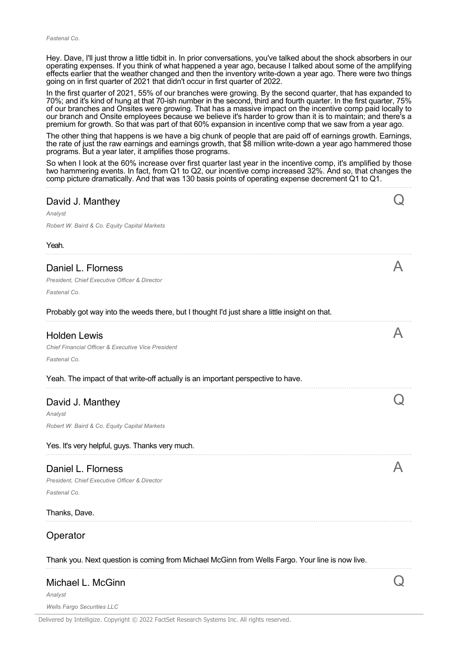Hey. Dave, I'll just throw a little tidbit in. In prior conversations, you've talked about the shock absorbers in our operating expenses. If you think of what happened a year ago, because I talked about some of the amplifying effects earlier that the weather changed and then the inventory write-down a year ago. There were two things going on in first quarter of 2021 that didn't occur in first quarter of 2022.

In the first quarter of 2021, 55% of our branches were growing. By the second quarter, that has expanded to 70%; and it's kind of hung at that 70-ish number in the second, third and fourth quarter. In the first quarter, 75% of our branches and Onsites were growing. That has a massive impact on the incentive comp paid locally to our branch and Onsite employees because we believe it's harder to grow than it is to maintain; and there's a premium for growth. So that was part of that 60% expansion in incentive comp that we saw from a year ago.

The other thing that happens is we have a big chunk of people that are paid off of earnings growth. Earnings, the rate of just the raw earnings and earnings growth, that \$8 million write-down a year ago hammered those programs. But a year later, it amplifies those programs.

So when I look at the 60% increase over first quarter last year in the incentive comp, it's amplified by those two hammering events. In fact, from Q1 to Q2, our incentive comp increased 32%. And so, that changes the comp picture dramatically. And that was 130 basis points of operating expense decrement Q1 to Q1.

| David J. Manthey<br>Analyst<br>Robert W. Baird & Co. Equity Capital Markets                     |  |
|-------------------------------------------------------------------------------------------------|--|
| Yeah.                                                                                           |  |
| Daniel L. Florness<br>President, Chief Executive Officer & Director<br>Fastenal Co.             |  |
| Probably got way into the weeds there, but I thought I'd just share a little insight on that.   |  |
| <b>Holden Lewis</b><br>Chief Financial Officer & Executive Vice President<br>Fastenal Co.       |  |
| Yeah. The impact of that write-off actually is an important perspective to have.                |  |
| David J. Manthey<br>Analyst                                                                     |  |
| Robert W. Baird & Co. Equity Capital Markets                                                    |  |
| Yes. It's very helpful, guys. Thanks very much.                                                 |  |
| Daniel L. Florness<br>President, Chief Executive Officer & Director<br>Fastenal Co.             |  |
| Thanks, Dave.                                                                                   |  |
| Operator                                                                                        |  |
| Thank you. Next question is coming from Michael McGinn from Wells Fargo. Your line is now live. |  |
| Michael L. McGinn<br>Analyst<br>Wells Fargo Securities IIC                                      |  |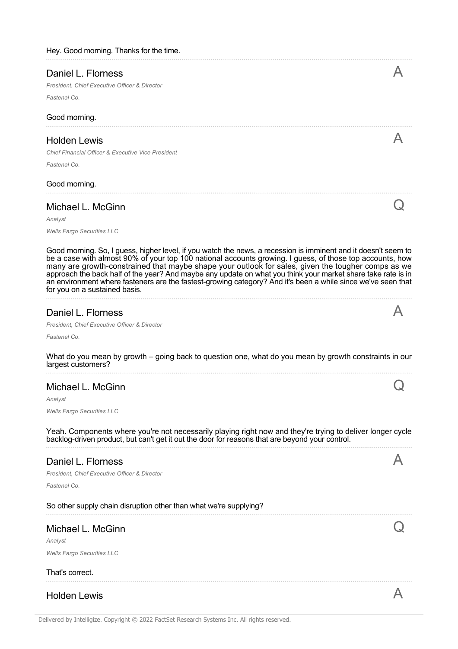|  |  | Hey. Good morning. Thanks for the time. |  |
|--|--|-----------------------------------------|--|
|--|--|-----------------------------------------|--|

| Daniel L. Florness                                                                                             |  |
|----------------------------------------------------------------------------------------------------------------|--|
| President, Chief Executive Officer & Director                                                                  |  |
| Fastenal Co.                                                                                                   |  |
| Good morning.                                                                                                  |  |
| <b>Holden Lewis</b>                                                                                            |  |
| Chief Financial Officer & Executive Vice President                                                             |  |
| Fastenal Co.                                                                                                   |  |
| Good morning.                                                                                                  |  |
| Michael L. McGinn                                                                                              |  |
| Analyst                                                                                                        |  |
| <b>Wells Fargo Securities LLC</b>                                                                              |  |
| Good morning. So, I guess, higher level, if you watch the news, a recession is imminent and it doesn't seem to |  |

be a case with almost 90% of your top 100 national accounts growing. I guess, of those top accounts, how many are growth-constrained that maybe shape your outlook for sales, given the tougher comps as we approach the back half of the year? And maybe any update on what you think your market share take rate is in an environment where fasteners are the fastest-growing category? And it's been a while since we've seen that for you on a sustained basis.

#### Daniel L. Florness

*President, Chief Executive Officer & Director*

*Fastenal Co.*

What do you mean by growth – going back to question one, what do you mean by growth constraints in our largest customers?

## Michael L. McGinn

*Analyst*

*Wells Fargo Securities LLC*

Yeah. Components where you're not necessarily playing right now and they're trying to deliver longer cycle backlog-driven product, but can't get it out the door for reasons that are beyond your control.

#### Daniel L. Florness

*President, Chief Executive Officer & Director*

*Fastenal Co.*

#### So other supply chain disruption other than what we're supplying?

## Michael L. McGinn

*Analyst Wells Fargo Securities LLC*

#### That's correct.

Holden Lewis  $\mathsf A$ 



Q

A

 $\rm{O}$ 

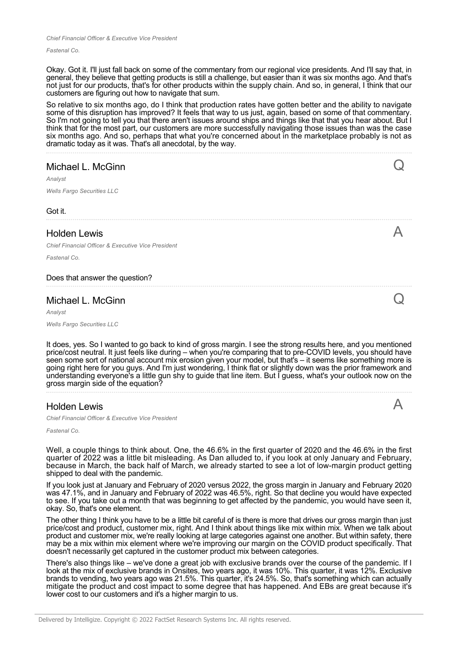*Fastenal Co.*

Okay. Got it. I'll just fall back on some of the commentary from our regional vice presidents. And I'll say that, in general, they believe that getting products is still a challenge, but easier than it was six months ago. And that's not just for our products, that's for other products within the supply chain. And so, in general, I think that our customers are figuring out how to navigate that sum.

So relative to six months ago, do I think that production rates have gotten better and the ability to navigate some of this disruption has improved? It feels that way to us just, again, based on some of that commentary. So I'm not going to tell you that there aren't issues around ships and things like that that you hear about. But I think that for the most part, our customers are more successfully navigating those issues than was the case six months ago. And so, perhaps that what you're concerned about in the marketplace probably is not as dramatic today as it was. That's all anecdotal, by the way.

## Michael L. McGinn

*Analyst*

*Wells Fargo Securities LLC*

Got it.

#### Holden Lewis

*Chief Financial Officer & Executive Vice President*

*Fastenal Co.*

#### Does that answer the question?

#### Michael L. McGinn

*Analyst*

*Wells Fargo Securities LLC*

It does, yes. So I wanted to go back to kind of gross margin. I see the strong results here, and you mentioned price/cost neutral. It just feels like during – when you're comparing that to pre-COVID levels, you should have seen some sort of national account mix erosion given your model, but that's – it seems like something more is going right here for you guys. And I'm just wondering, I think flat or slightly down was the prior framework and understanding everyone's a little gun shy to guide that line item. But I guess, what's your outlook now on the gross margin side of the equation?

#### Holden Lewis

*Chief Financial Officer & Executive Vice President*

*Fastenal Co.*

Well, a couple things to think about. One, the 46.6% in the first quarter of 2020 and the 46.6% in the first quarter of 2022 was a little bit misleading. As Dan alluded to, if you look at only January and February, because in March, the back half of March, we already started to see a lot of low-margin product getting shipped to deal with the pandemic.

If you look just at January and February of 2020 versus 2022, the gross margin in January and February 2020 was 47.1%, and in January and February of 2022 was 46.5%, right. So that decline you would have expected to see. If you take out a month that was beginning to get affected by the pandemic, you would have seen it, okay. So, that's one element.

The other thing I think you have to be a little bit careful of is there is more that drives our gross margin than just price/cost and product, customer mix, right. And I think about things like mix within mix. When we talk about product and customer mix, we're really looking at large categories against one another. But within safety, there may be a mix within mix element where we're improving our margin on the COVID product specifically. That doesn't necessarily get captured in the customer product mix between categories.

There's also things like – we've done a great job with exclusive brands over the course of the pandemic. If I look at the mix of exclusive brands in Onsites, two years ago, it was 10%. This quarter, it was 12%. Exclusive brands to vending, two years ago was 21.5%. This quarter, it's 24.5%. So, that's something which can actually mitigate the product and cost impact to some degree that has happened. And EBs are great because it's lower cost to our customers and it's a higher margin to us.



Q

 $\boldsymbol{\mathsf{A}}$ 

 ${\rm O}$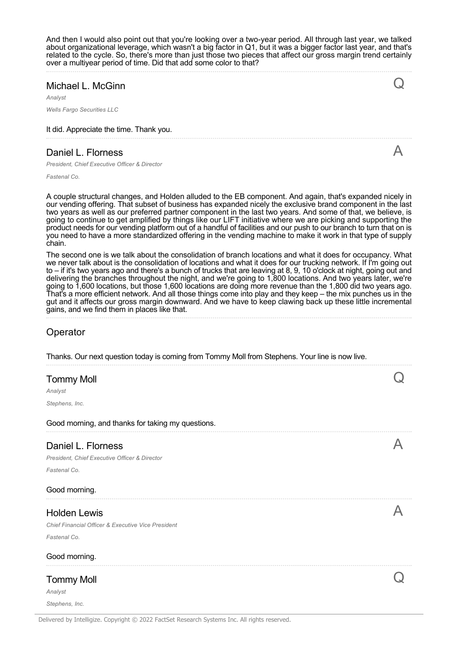And then I would also point out that you're looking over a two-year period. All through last year, we talked about organizational leverage, which wasn't a big factor in Q1, but it was a bigger factor last year, and that's related to the cycle. So, there's more than just those two pieces that affect our gross margin trend certainly over a multiyear period of time. Did that add some color to that?

Q

A

### Michael L. McGinn

*Analyst*

*Wells Fargo Securities LLC*

It did. Appreciate the time. Thank you.

## Daniel L. Florness

*President, Chief Executive Officer & Director*

*Fastenal Co.*

A couple structural changes, and Holden alluded to the EB component. And again, that's expanded nicely in our vending offering. That subset of business has expanded nicely the exclusive brand component in the last two years as well as our preferred partner component in the last two years. And some of that, we believe, is going to continue to get amplified by things like our LIFT initiative where we are picking and supporting the product needs for our vending platform out of a handful of facilities and our push to our branch to turn that on is you need to have a more standardized offering in the vending machine to make it work in that type of supply chain.

The second one is we talk about the consolidation of branch locations and what it does for occupancy. What we never talk about is the consolidation of locations and what it does for our trucking network. If I'm going out to – if it's two years ago and there's a bunch of trucks that are leaving at 8, 9, 10 o'clock at night, going out and delivering the branches throughout the night, and we're going to 1,800 locations. And two years later, we're going to 1,600 locations, but those 1,600 locations are doing more revenue than the 1,800 did two years ago. That's a more efficient network. And all those things come into play and they keep – the mix punches us in the gut and it affects our gross margin downward. And we have to keep clawing back up these little incremental gains, and we find them in places like that.

## Operator

| Thanks. Our next question today is coming from Tommy Moll from Stephens. Your line is now live. |  |
|-------------------------------------------------------------------------------------------------|--|
| <b>Tommy Moll</b><br>Analyst<br>Stephens, Inc.                                                  |  |
|                                                                                                 |  |
| Good morning, and thanks for taking my questions.                                               |  |
| Daniel L. Florness<br>President, Chief Executive Officer & Director<br>Fastenal Co.             |  |
| Good morning.                                                                                   |  |
| <b>Holden Lewis</b><br>Chief Financial Officer & Executive Vice President<br>Fastenal Co.       |  |
| Good morning.                                                                                   |  |
| <b>Tommy Moll</b><br>Analyst<br>Stephens, Inc.                                                  |  |
|                                                                                                 |  |

Delivered by Intelligize. Copyright © 2022 FactSet Research Systems Inc. All rights reserved.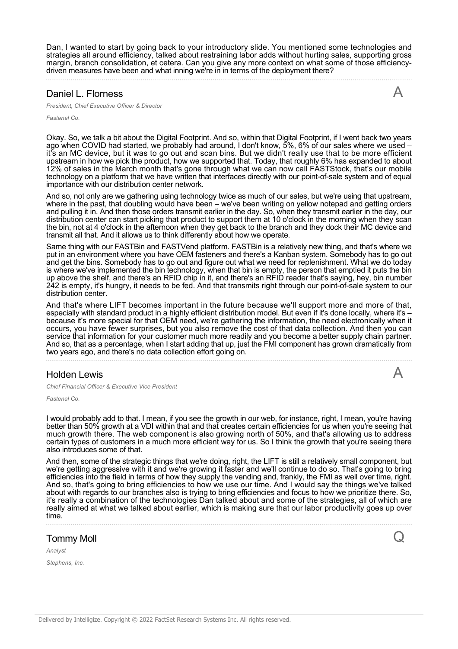Dan, I wanted to start by going back to your introductory slide. You mentioned some technologies and strategies all around efficiency, talked about restraining labor adds without hurting sales, supporting gross margin, branch consolidation, et cetera. Can you give any more context on what some of those efficiencydriven measures have been and what inning we're in in terms of the deployment there?

#### Daniel L. Florness

*President, Chief Executive Officer & Director*

*Fastenal Co.*

Okay. So, we talk a bit about the Digital Footprint. And so, within that Digital Footprint, if I went back two years ago when COVID had started, we probably had around, I don't know, 5%, 6% of our sales where we used – it's an MC device, but it was to go out and scan bins. But we didn't really use that to be more efficient upstream in how we pick the product, how we supported that. Today, that roughly 6% has expanded to about 12% of sales in the March month that's gone through what we can now call FASTStock, that's our mobile technology on a platform that we have written that interfaces directly with our point-of-sale system and of equal importance with our distribution center network.

And so, not only are we gathering using technology twice as much of our sales, but we're using that upstream, where in the past, that doubling would have been – we've been writing on yellow notepad and getting orders and pulling it in. And then those orders transmit earlier in the day. So, when they transmit earlier in the day, our distribution center can start picking that product to support them at 10 o'clock in the morning when they scan the bin, not at 4 o'clock in the afternoon when they get back to the branch and they dock their MC device and transmit all that. And it allows us to think differently about how we operate.

Same thing with our FASTBin and FASTVend platform. FASTBin is a relatively new thing, and that's where we put in an environment where you have OEM fasteners and there's a Kanban system. Somebody has to go out and get the bins. Somebody has to go out and figure out what we need for replenishment. What we do today is where we've implemented the bin technology, when that bin is empty, the person that emptied it puts the bin up above the shelf, and there's an RFID chip in it, and there's an RFID reader that's saying, hey, bin number 242 is empty, it's hungry, it needs to be fed. And that transmits right through our point-of-sale system to our distribution center.

And that's where LIFT becomes important in the future because we'll support more and more of that, especially with standard product in a highly efficient distribution model. But even if it's done locally, where it's – because it's more special for that OEM need, we're gathering the information, the need electronically when it occurs, you have fewer surprises, but you also remove the cost of that data collection. And then you can service that information for your customer much more readily and you become a better supply chain partner. And so, that as a percentage, when I start adding that up, just the FMI component has grown dramatically from two years ago, and there's no data collection effort going on.

#### Holden Lewis

A

Q

A

*Chief Financial Officer & Executive Vice President*

*Fastenal Co.*

I would probably add to that. I mean, if you see the growth in our web, for instance, right, I mean, you're having better than 50% growth at a VDI within that and that creates certain efficiencies for us when you're seeing that much growth there. The web component is also growing north of 50%, and that's allowing us to address certain types of customers in a much more efficient way for us. So I think the growth that you're seeing there also introduces some of that.

And then, some of the strategic things that we're doing, right, the LIFT is still a relatively small component, but we're getting aggressive with it and we're growing it faster and we'll continue to do so. That's going to bring efficiencies into the field in terms of how they supply the vending and, frankly, the FMI as well over time, right. And so, that's going to bring efficiencies to how we use our time. And I would say the things we've talked about with regards to our branches also is trying to bring efficiencies and focus to how we prioritize there. So, it's really a combination of the technologies Dan talked about and some of the strategies, all of which are really aimed at what we talked about earlier, which is making sure that our labor productivity goes up over time.

#### Tommy Moll

*Analyst*

*Stephens, Inc.*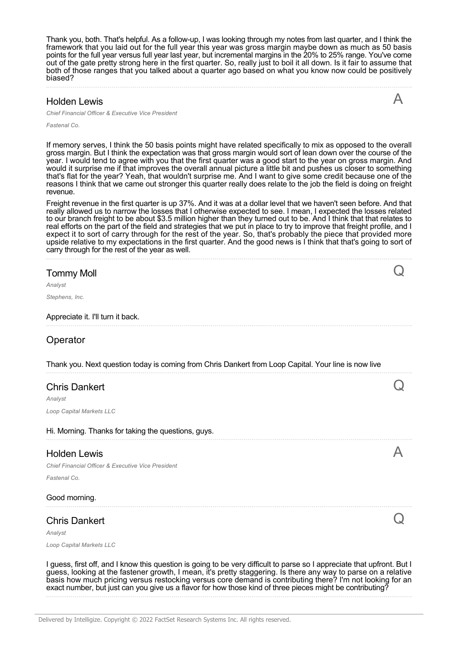Thank you, both. That's helpful. As a follow-up, I was looking through my notes from last quarter, and I think the framework that you laid out for the full year this year was gross margin maybe down as much as 50 basis points for the full year versus full year last year, but incremental margins in the 20% to 25% range. You've come out of the gate pretty strong here in the first quarter. So, really just to boil it all down. Is it fair to assume that both of those ranges that you talked about a quarter ago based on what you know now could be positively biased?

### Holden Lewis

*Chief Financial Officer & Executive Vice President*

*Fastenal Co.*

If memory serves, I think the 50 basis points might have related specifically to mix as opposed to the overall gross margin. But I think the expectation was that gross margin would sort of lean down over the course of the year. I would tend to agree with you that the first quarter was a good start to the year on gross margin. And would it surprise me if that improves the overall annual picture a little bit and pushes us closer to something that's flat for the year? Yeah, that wouldn't surprise me. And I want to give some credit because one of the reasons I think that we came out stronger this quarter really does relate to the job the field is doing on freight revenue.

Freight revenue in the first quarter is up 37%. And it was at a dollar level that we haven't seen before. And that really allowed us to narrow the losses that I otherwise expected to see. I mean, I expected the losses related to our branch freight to be about \$3.5 million higher than they turned out to be. And I think that that relates to real efforts on the part of the field and strategies that we put in place to try to improve that freight profile, and I expect it to sort of carry through for the rest of the year. So, that's probably the piece that provided more upside relative to my expectations in the first quarter. And the good news is I think that that's going to sort of carry through for the rest of the year as well.

| <b>Tommy Moll</b>                                                                                                                                                                                                                                                                                                                                      |  |
|--------------------------------------------------------------------------------------------------------------------------------------------------------------------------------------------------------------------------------------------------------------------------------------------------------------------------------------------------------|--|
| Analyst                                                                                                                                                                                                                                                                                                                                                |  |
| Stephens, Inc.                                                                                                                                                                                                                                                                                                                                         |  |
| Appreciate it. I'll turn it back.                                                                                                                                                                                                                                                                                                                      |  |
| Operator                                                                                                                                                                                                                                                                                                                                               |  |
| Thank you. Next question today is coming from Chris Dankert from Loop Capital. Your line is now live                                                                                                                                                                                                                                                   |  |
| <b>Chris Dankert</b>                                                                                                                                                                                                                                                                                                                                   |  |
| Analyst                                                                                                                                                                                                                                                                                                                                                |  |
| Loop Capital Markets LLC                                                                                                                                                                                                                                                                                                                               |  |
| Hi. Morning. Thanks for taking the questions, guys.                                                                                                                                                                                                                                                                                                    |  |
| <b>Holden Lewis</b>                                                                                                                                                                                                                                                                                                                                    |  |
| Chief Financial Officer & Executive Vice President                                                                                                                                                                                                                                                                                                     |  |
| Fastenal Co.                                                                                                                                                                                                                                                                                                                                           |  |
| Good morning.                                                                                                                                                                                                                                                                                                                                          |  |
| <b>Chris Dankert</b>                                                                                                                                                                                                                                                                                                                                   |  |
| Analyst                                                                                                                                                                                                                                                                                                                                                |  |
| Loop Capital Markets LLC                                                                                                                                                                                                                                                                                                                               |  |
| I guess, first off, and I know this question is going to be very difficult to parse so I appreciate that upfront. But I<br>guess, looking at the fastener growth, I mean, it's pretty staggering. Is there any way to parse on a relative<br>basis how much pricing versus restocking versus core demand is contributing there? I'm not looking for an |  |

exact number, but just can you give us a flavor for how those kind of three pieces might be contributing?

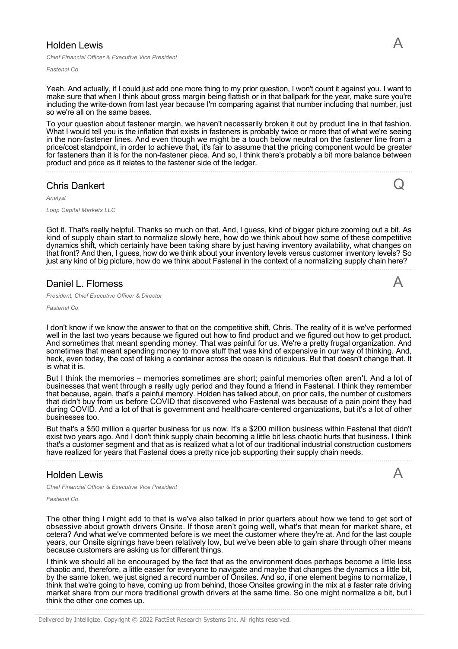### Holden Lewis

*Chief Financial Officer & Executive Vice President*

*Fastenal Co.*

Yeah. And actually, if I could just add one more thing to my prior question, I won't count it against you. I want to make sure that when I think about gross margin being flattish or in that ballpark for the year, make sure you're including the write-down from last year because I'm comparing against that number including that number, just so we're all on the same bases.

To your question about fastener margin, we haven't necessarily broken it out by product line in that fashion. What I would tell you is the inflation that exists in fasteners is probably twice or more that of what we're seeing in the non-fastener lines. And even though we might be a touch below neutral on the fastener line from a price/cost standpoint, in order to achieve that, it's fair to assume that the pricing component would be greater for fasteners than it is for the non-fastener piece. And so, I think there's probably a bit more balance between product and price as it relates to the fastener side of the ledger.

Chris Dankert

*Analyst*

*Loop Capital Markets LLC*

Got it. That's really helpful. Thanks so much on that. And, I guess, kind of bigger picture zooming out a bit. As kind of supply chain start to normalize slowly here, how do we think about how some of these competitive dynamics shift, which certainly have been taking share by just having inventory availability, what changes on that front? And then, I guess, how do we think about your inventory levels versus customer inventory levels? So just any kind of big picture, how do we think about Fastenal in the context of a normalizing supply chain here?

#### Daniel L. Florness

*President, Chief Executive Officer & Director*

#### *Fastenal Co.*

I don't know if we know the answer to that on the competitive shift, Chris. The reality of it is we've performed well in the last two years because we figured out how to find product and we figured out how to get product. And sometimes that meant spending money. That was painful for us. We're a pretty frugal organization. And sometimes that meant spending money to move stuff that was kind of expensive in our way of thinking. And, heck, even today, the cost of taking a container across the ocean is ridiculous. But that doesn't change that. It is what it is.

But I think the memories – memories sometimes are short; painful memories often aren't. And a lot of businesses that went through a really ugly period and they found a friend in Fastenal. I think they remember that because, again, that's a painful memory. Holden has talked about, on prior calls, the number of customers that didn't buy from us before COVID that discovered who Fastenal was because of a pain point they had during COVID. And a lot of that is government and healthcare-centered organizations, but it's a lot of other businesses too.

But that's a \$50 million a quarter business for us now. It's a \$200 million business within Fastenal that didn't exist two years ago. And I don't think supply chain becoming a little bit less chaotic hurts that business. I think that's a customer segment and that as is realized what a lot of our traditional industrial construction customers have realized for years that Fastenal does a pretty nice job supporting their supply chain needs.

#### Holden Lewis

*Chief Financial Officer & Executive Vice President*

*Fastenal Co.*

The other thing I might add to that is we've also talked in prior quarters about how we tend to get sort of obsessive about growth drivers Onsite. If those aren't going well, what's that mean for market share, et cetera? And what we've commented before is we meet the customer where they're at. And for the last couple years, our Onsite signings have been relatively low, but we've been able to gain share through other means because customers are asking us for different things.

I think we should all be encouraged by the fact that as the environment does perhaps become a little less chaotic and, therefore, a little easier for everyone to navigate and maybe that changes the dynamics a little bit, by the same token, we just signed a record number of Onsites. And so, if one element begins to normalize, I think that we're going to have, coming up from behind, those Onsites growing in the mix at a faster rate driving market share from our more traditional growth drivers at the same time. So one might normalize a bit, but I think the other one comes up.

Q

A

A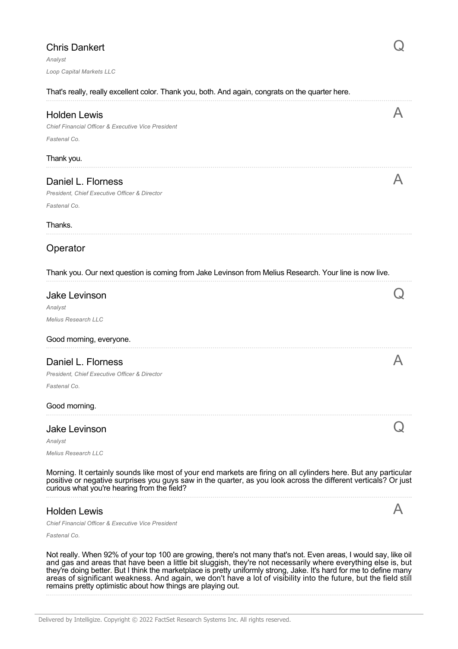| <b>Chris Dankert</b><br>Analyst                                                                                                                                                                                                                                                   |  |
|-----------------------------------------------------------------------------------------------------------------------------------------------------------------------------------------------------------------------------------------------------------------------------------|--|
| Loop Capital Markets LLC                                                                                                                                                                                                                                                          |  |
| That's really, really excellent color. Thank you, both. And again, congrats on the quarter here.                                                                                                                                                                                  |  |
| <b>Holden Lewis</b><br><b>Chief Financial Officer &amp; Executive Vice President</b><br>Fastenal Co.                                                                                                                                                                              |  |
| Thank you.                                                                                                                                                                                                                                                                        |  |
| Daniel L. Florness<br>President, Chief Executive Officer & Director<br>Fastenal Co.                                                                                                                                                                                               |  |
| Thanks.                                                                                                                                                                                                                                                                           |  |
| Operator                                                                                                                                                                                                                                                                          |  |
| Thank you. Our next question is coming from Jake Levinson from Melius Research. Your line is now live.                                                                                                                                                                            |  |
| <b>Jake Levinson</b><br>Analyst                                                                                                                                                                                                                                                   |  |
| <b>Melius Research LLC</b>                                                                                                                                                                                                                                                        |  |
| Good morning, everyone.                                                                                                                                                                                                                                                           |  |
| Daniel L. Florness<br>President, Chief Executive Officer & Director<br>Fastenal Co.                                                                                                                                                                                               |  |
| Good morning.                                                                                                                                                                                                                                                                     |  |
| <b>Jake Levinson</b><br>Analyst                                                                                                                                                                                                                                                   |  |
| <b>Melius Research LLC</b>                                                                                                                                                                                                                                                        |  |
| Morning. It certainly sounds like most of your end markets are firing on all cylinders here. But any particular<br>positive or negative surprises you guys saw in the quarter, as you look across the different verticals? Or just<br>curious what you're hearing from the field? |  |
| <b>Holden Lewis</b>                                                                                                                                                                                                                                                               |  |
| <b>Chief Financial Officer &amp; Executive Vice President</b>                                                                                                                                                                                                                     |  |
| Fastenal Co.                                                                                                                                                                                                                                                                      |  |
| Not really. When 92% of your top 100 are growing, there's not many that's not. Even areas, I would say, like oil<br>that have heap a little bit cludgich thou're                                                                                                                  |  |

and gas and areas that have been a little bit sluggish, they're not necessarily where everything else is, but they're doing better. But I think the marketplace is pretty uniformly strong, Jake. It's hard for me to define many areas of significant weakness. And again, we don't have a lot of visibility into the future, but the field still remains pretty optimistic about how things are playing out.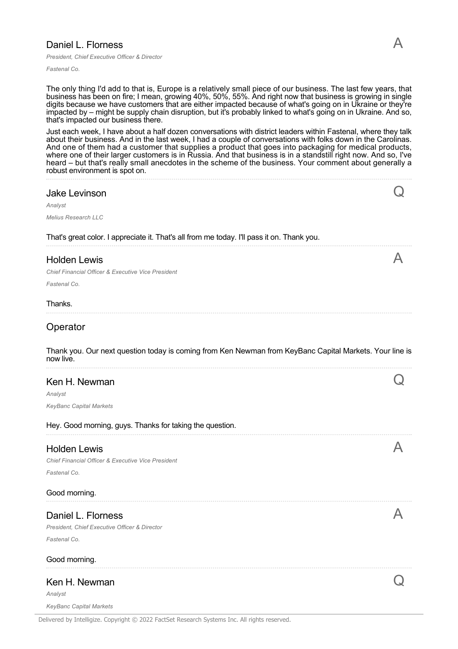## Daniel L. Florness

*President, Chief Executive Officer & Director*

*Fastenal Co.*

The only thing I'd add to that is, Europe is a relatively small piece of our business. The last few years, that business has been on fire; I mean, growing 40%, 50%, 55%. And right now that business is growing in single digits because we have customers that are either impacted because of what's going on in Ukraine or they're impacted by – might be supply chain disruption, but it's probably linked to what's going on in Ukraine. And so, that's impacted our business there.

Just each week, I have about a half dozen conversations with district leaders within Fastenal, where they talk about their business. And in the last week, I had a couple of conversations with folks down in the Carolinas. And one of them had a customer that supplies a product that goes into packaging for medical products, where one of their larger customers is in Russia. And that business is in a standstill right now. And so, I've heard – but that's really small anecdotes in the scheme of the business. Your comment about generally a robust environment is spot on.

#### Jake Levinson

*Analyst*

*Melius Research LLC*

That's great color. I appreciate it. That's all from me today. I'll pass it on. Thank you.

#### Holden Lewis

*Chief Financial Officer & Executive Vice President*

*Fastenal Co.*

#### Thanks.

**Operator** 

Thank you. Our next question today is coming from Ken Newman from KeyBanc Capital Markets. Your line is now live.

#### Ken H. Newman

*Analyst KeyBanc Capital Markets*

|  | Hey. Good morning, guys. Thanks for taking the question. |
|--|----------------------------------------------------------|
|--|----------------------------------------------------------|

#### Holden Lewis

*Chief Financial Officer & Executive Vice President*

*Fastenal Co.*

#### Good morning.

## Daniel L. Florness

*President, Chief Executive Officer & Director Fastenal Co.*

#### Good morning.

#### Ken H. Newman

*Analyst*

*KeyBanc Capital Markets*

Delivered by Intelligize. Copyright © 2022 FactSet Research Systems Inc. All rights reserved.

Q

A

Q

A

A

 $\mathsf{C}$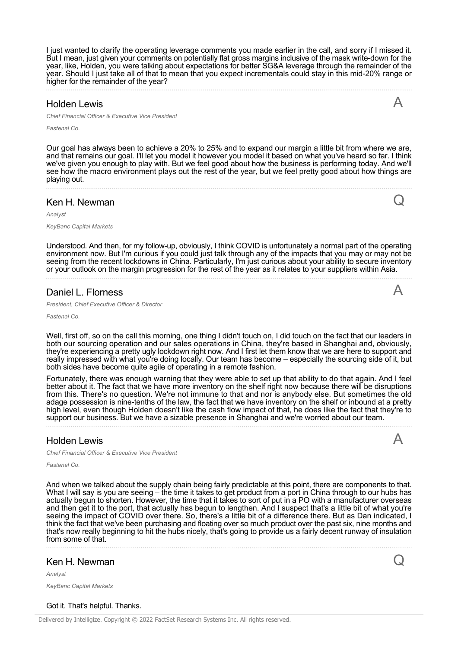I just wanted to clarify the operating leverage comments you made earlier in the call, and sorry if I missed it. But I mean, just given your comments on potentially flat gross margins inclusive of the mask write-down for the year, like, Holden, you were talking about expectations for better SG&A leverage through the remainder of the year. Should I just take all of that to mean that you expect incrementals could stay in this mid-20% range or higher for the remainder of the year?

#### Holden Lewis

*Chief Financial Officer & Executive Vice President*

*Fastenal Co.*

Our goal has always been to achieve a 20% to 25% and to expand our margin a little bit from where we are, and that remains our goal. I'll let you model it however you model it based on what you've heard so far. I think we've given you enough to play with. But we feel good about how the business is performing today. And we'll see how the macro environment plays out the rest of the year, but we feel pretty good about how things are playing out.

#### Ken H. Newman

*Analyst*

*KeyBanc Capital Markets*

Understood. And then, for my follow-up, obviously, I think COVID is unfortunately a normal part of the operating environment now. But I'm curious if you could just talk through any of the impacts that you may or may not be seeing from the recent lockdowns in China. Particularly, I'm just curious about your ability to secure inventory or your outlook on the margin progression for the rest of the year as it relates to your suppliers within Asia.

#### Daniel L. Florness

*President, Chief Executive Officer & Director*

*Fastenal Co.*

Well, first off, so on the call this morning, one thing I didn't touch on, I did touch on the fact that our leaders in both our sourcing operation and our sales operations in China, they're based in Shanghai and, obviously, they're experiencing a pretty ugly lockdown right now. And I first let them know that we are here to support and really impressed with what you're doing locally. Our team has become – especially the sourcing side of it, but both sides have become quite agile of operating in a remote fashion.

Fortunately, there was enough warning that they were able to set up that ability to do that again. And I feel better about it. The fact that we have more inventory on the shelf right now because there will be disruptions from this. There's no question. We're not immune to that and nor is anybody else. But sometimes the old adage possession is nine-tenths of the law, the fact that we have inventory on the shelf or inbound at a pretty high level, even though Holden doesn't like the cash flow impact of that, he does like the fact that they're to support our business. But we have a sizable presence in Shanghai and we're worried about our team.

Holden Lewis

*Chief Financial Officer & Executive Vice President*

*Fastenal Co.*

And when we talked about the supply chain being fairly predictable at this point, there are components to that. What I will say is you are seeing – the time it takes to get product from a port in China through to our hubs has actually begun to shorten. However, the time that it takes to sort of put in a PO with a manufacturer overseas and then get it to the port, that actually has begun to lengthen. And I suspect that's a little bit of what you're seeing the impact of COVID over there. So, there's a little bit of a difference there. But as Dan indicated, I think the fact that we've been purchasing and floating over so much product over the past six, nine months and that's now really beginning to hit the hubs nicely, that's going to provide us a fairly decent runway of insulation from some of that.

#### Ken H. Newman

*Analyst*

*KeyBanc Capital Markets*

#### Got it. That's helpful. Thanks.



A

A

Q

A